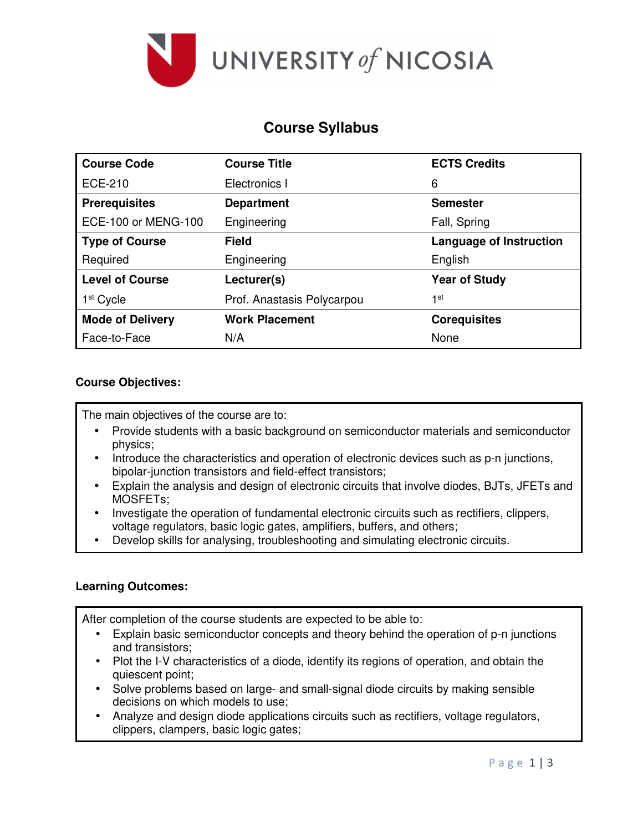

# **Course Syllabus**

| <b>Course Code</b>      | <b>Course Title</b>        | <b>ECTS Credits</b>            |  |
|-------------------------|----------------------------|--------------------------------|--|
| <b>ECE-210</b>          | Electronics I              | 6                              |  |
| <b>Prerequisites</b>    | <b>Department</b>          | <b>Semester</b>                |  |
| ECE-100 or MENG-100     | Engineering                | Fall, Spring                   |  |
| <b>Type of Course</b>   | <b>Field</b>               | <b>Language of Instruction</b> |  |
| Required                | Engineering                | English                        |  |
| <b>Level of Course</b>  | Lecturer(s)                | <b>Year of Study</b>           |  |
| 1 <sup>st</sup> Cycle   | Prof. Anastasis Polycarpou | 1st                            |  |
| <b>Mode of Delivery</b> | <b>Work Placement</b>      | <b>Corequisites</b>            |  |
| Face-to-Face            | N/A                        | None                           |  |

### **Course Objectives:**

The main objectives of the course are to:

- Provide students with a basic background on semiconductor materials and semiconductor physics;
- Introduce the characteristics and operation of electronic devices such as p-n junctions, bipolar-junction transistors and field-effect transistors;
- Explain the analysis and design of electronic circuits that involve diodes, BJTs, JFETs and MOSFETs;
- Investigate the operation of fundamental electronic circuits such as rectifiers, clippers, voltage regulators, basic logic gates, amplifiers, buffers, and others;
- Develop skills for analysing, troubleshooting and simulating electronic circuits.

#### **Learning Outcomes:**

After completion of the course students are expected to be able to:

- Explain basic semiconductor concepts and theory behind the operation of p-n junctions and transistors;
- Plot the I-V characteristics of a diode, identify its regions of operation, and obtain the quiescent point;
- Solve problems based on large- and small-signal diode circuits by making sensible decisions on which models to use;
- Analyze and design diode applications circuits such as rectifiers, voltage regulators, clippers, clampers, basic logic gates;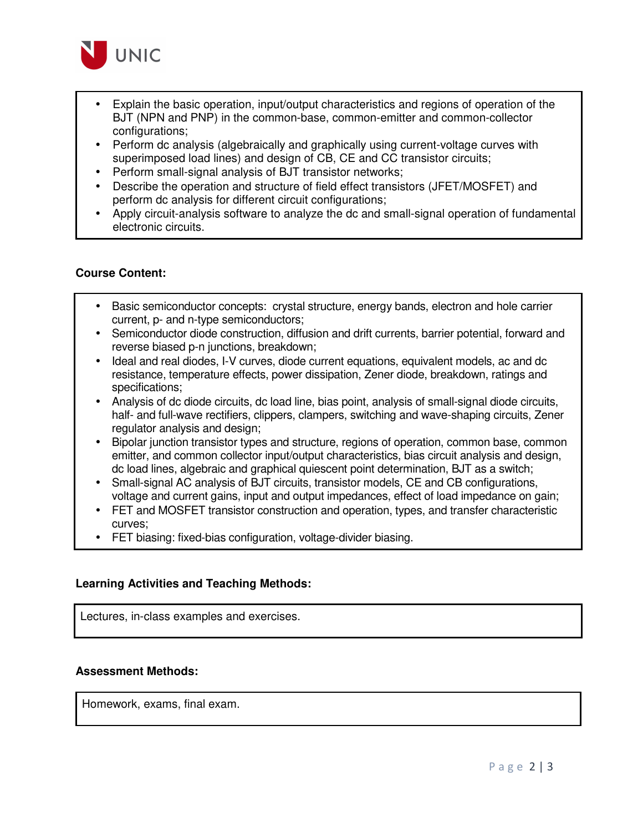

- Explain the basic operation, input/output characteristics and regions of operation of the BJT (NPN and PNP) in the common-base, common-emitter and common-collector configurations;
- Perform dc analysis (algebraically and graphically using current-voltage curves with superimposed load lines) and design of CB, CE and CC transistor circuits;
- Perform small-signal analysis of BJT transistor networks;
- Describe the operation and structure of field effect transistors (JFET/MOSFET) and perform dc analysis for different circuit configurations;
- Apply circuit-analysis software to analyze the dc and small-signal operation of fundamental electronic circuits.

### **Course Content:**

- Basic semiconductor concepts: crystal structure, energy bands, electron and hole carrier current, p- and n-type semiconductors;
- Semiconductor diode construction, diffusion and drift currents, barrier potential, forward and reverse biased p-n junctions, breakdown;
- Ideal and real diodes, I-V curves, diode current equations, equivalent models, ac and dc resistance, temperature effects, power dissipation, Zener diode, breakdown, ratings and specifications;
- Analysis of dc diode circuits, dc load line, bias point, analysis of small-signal diode circuits, half- and full-wave rectifiers, clippers, clampers, switching and wave-shaping circuits, Zener regulator analysis and design;
- Bipolar junction transistor types and structure, regions of operation, common base, common emitter, and common collector input/output characteristics, bias circuit analysis and design, dc load lines, algebraic and graphical quiescent point determination, BJT as a switch;
- Small-signal AC analysis of BJT circuits, transistor models, CE and CB configurations, voltage and current gains, input and output impedances, effect of load impedance on gain;
- FET and MOSFET transistor construction and operation, types, and transfer characteristic curves;
- FET biasing: fixed-bias configuration, voltage-divider biasing.

#### **Learning Activities and Teaching Methods:**

Lectures, in-class examples and exercises.

#### **Assessment Methods:**

Homework, exams, final exam.